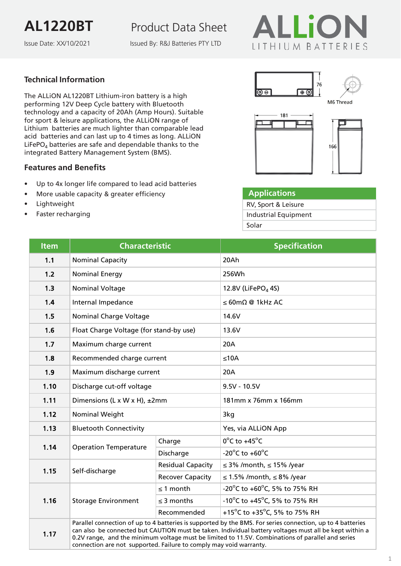## Product Data Sheet

Issue Date: XX/10/2021

**AL1220BT**

Issued By: R&J Batteries PTY LTD



### **Technical Information**

The ALLiON AL1220BT Lithium-iron battery is a high performing 12V Deep Cycle battery with Bluetooth technology and a capacity of 20Ah (Amp Hours). Suitable for sport & leisure applications, the ALLiON range of Lithium batteries are much lighter than comparable lead acid batteries and can last up to 4 times as long. ALLiON LiFePO<sub>4</sub> batteries are safe and dependable thanks to the integrated Battery Management System (BMS).

#### **Features and Benefits**

- Up to 4x longer life compared to lead acid batteries
- More usable capacity & greater efficiency
- **Lightweight**
- Faster recharging









| <b>Applications</b>         |
|-----------------------------|
| RV, Sport & Leisure         |
| <b>Industrial Equipment</b> |
| Solar                       |

| <b>Item</b> | <b>Characteristic</b>                                                                                                                                                                                                                                                                                                                                                                           |                          | <b>Specification</b>                                |
|-------------|-------------------------------------------------------------------------------------------------------------------------------------------------------------------------------------------------------------------------------------------------------------------------------------------------------------------------------------------------------------------------------------------------|--------------------------|-----------------------------------------------------|
| 1.1         | <b>Nominal Capacity</b>                                                                                                                                                                                                                                                                                                                                                                         |                          | 20Ah                                                |
| $1.2$       | <b>Nominal Energy</b>                                                                                                                                                                                                                                                                                                                                                                           |                          | 256Wh                                               |
| 1.3         | <b>Nominal Voltage</b>                                                                                                                                                                                                                                                                                                                                                                          |                          | 12.8V (LiFePO <sub>4</sub> 4S)                      |
| 1.4         | Internal Impedance                                                                                                                                                                                                                                                                                                                                                                              |                          | $\leq 60 \text{m}\Omega \text{ @ } 1 \text{kHz AC}$ |
| 1.5         | <b>Nominal Charge Voltage</b>                                                                                                                                                                                                                                                                                                                                                                   |                          | 14.6V                                               |
| 1.6         | Float Charge Voltage (for stand-by use)                                                                                                                                                                                                                                                                                                                                                         |                          | 13.6V                                               |
| 1.7         | Maximum charge current                                                                                                                                                                                                                                                                                                                                                                          |                          | 20A                                                 |
| 1.8         | Recommended charge current                                                                                                                                                                                                                                                                                                                                                                      |                          | $≤10A$                                              |
| 1.9         | Maximum discharge current                                                                                                                                                                                                                                                                                                                                                                       |                          | 20A                                                 |
| 1.10        | Discharge cut-off voltage                                                                                                                                                                                                                                                                                                                                                                       |                          | $9.5V - 10.5V$                                      |
| 1.11        | Dimensions (L x W x H), ±2mm                                                                                                                                                                                                                                                                                                                                                                    |                          | 181mm x 76mm x 166mm                                |
| 1.12        | <b>Nominal Weight</b>                                                                                                                                                                                                                                                                                                                                                                           |                          | 3kg                                                 |
| 1.13        | <b>Bluetooth Connectivity</b>                                                                                                                                                                                                                                                                                                                                                                   |                          | Yes, via ALLION App                                 |
| 1.14        | <b>Operation Temperature</b>                                                                                                                                                                                                                                                                                                                                                                    | Charge                   | $0^{\circ}$ C to +45 $^{\circ}$ C                   |
|             |                                                                                                                                                                                                                                                                                                                                                                                                 | Discharge                | -20 $^{\circ}$ C to +60 $^{\circ}$ C                |
| 1.15        | Self-discharge                                                                                                                                                                                                                                                                                                                                                                                  | <b>Residual Capacity</b> | $\leq$ 3% /month, $\leq$ 15% /year                  |
|             |                                                                                                                                                                                                                                                                                                                                                                                                 | <b>Recover Capacity</b>  | $\leq$ 1.5% /month, $\leq$ 8% /year                 |
|             | <b>Storage Environment</b>                                                                                                                                                                                                                                                                                                                                                                      | $\leq$ 1 month           | -20°C to +60°C, 5% to 75% RH                        |
| 1.16        |                                                                                                                                                                                                                                                                                                                                                                                                 | $\leq$ 3 months          | -10°C to +45°C, 5% to 75% RH                        |
|             |                                                                                                                                                                                                                                                                                                                                                                                                 | Recommended              | +15°C to +35°C, 5% to 75% RH                        |
| 1.17        | Parallel connection of up to 4 batteries is supported by the BMS. For series connection, up to 4 batteries<br>can also be connected but CAUTION must be taken. Individual battery voltages must all be kept within a<br>0.2V range, and the minimum voltage must be limited to 11.5V. Combinations of parallel and series<br>connection are not supported. Failure to comply may void warranty. |                          |                                                     |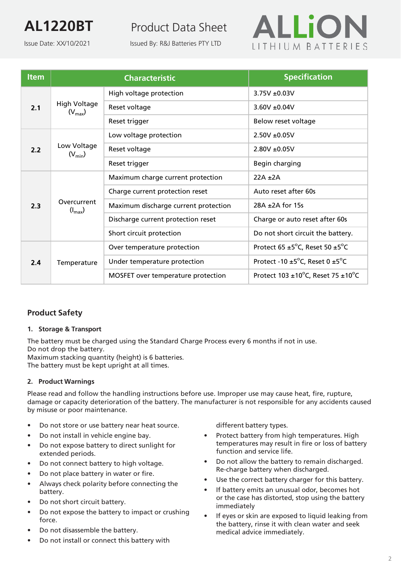# **AL1220BT**

Issue Date: XX/10/2021

# Product Data Sheet

Issued By: R&J Batteries PTY LTD



| <b>Item</b> | <b>Characteristic</b>              |                                      | <b>Specification</b>                                               |
|-------------|------------------------------------|--------------------------------------|--------------------------------------------------------------------|
|             |                                    | High voltage protection              | $3.75V + 0.03V$                                                    |
| 2.1         | <b>High Voltage</b><br>$(V_{max})$ | Reset voltage                        | $3.60V + 0.04V$                                                    |
|             |                                    | Reset trigger                        | Below reset voltage                                                |
|             | Low Voltage<br>$(V_{\min})$        | Low voltage protection               | $2.50V + 0.05V$                                                    |
| 2.2         |                                    | Reset voltage                        | $2.80V + 0.05V$                                                    |
|             |                                    | Reset trigger                        | Begin charging                                                     |
|             | Overcurrent<br>(I <sub>max</sub> ) | Maximum charge current protection    | $22A + 2A$                                                         |
|             |                                    | Charge current protection reset      | Auto reset after 60s                                               |
| 2.3         |                                    | Maximum discharge current protection | $28A \pm 2A$ for 15s                                               |
|             |                                    | Discharge current protection reset   | Charge or auto reset after 60s                                     |
|             |                                    | Short circuit protection             | Do not short circuit the battery.                                  |
| 2.4         | Temperature                        | Over temperature protection          | Protect 65 $\pm$ 5 <sup>°</sup> C, Reset 50 $\pm$ 5 <sup>°</sup> C |
|             |                                    | Under temperature protection         | Protect -10 $\pm 5^{\circ}$ C, Reset 0 $\pm 5^{\circ}$ C           |
|             |                                    | MOSFET over temperature protection   | Protect 103 ±10°C, Reset 75 ±10°C                                  |

### **Product Safety**

#### **1. Storage & Transport**

The battery must be charged using the Standard Charge Process every 6 months if not in use. Do not drop the battery.

Maximum stacking quantity (height) is 6 batteries. The battery must be kept upright at all times.

#### **2. Product Warnings**

Please read and follow the handling instructions before use. Improper use may cause heat, fire, rupture, damage or capacity deterioration of the battery. The manufacturer is not responsible for any accidents caused by misuse or poor maintenance.

- Do not store or use battery near heat source.
- Do not install in vehicle engine bay.
- Do not expose battery to direct sunlight for extended periods.
- Do not connect battery to high voltage.
- Do not place battery in water or fire.
- Always check polarity before connecting the battery.
- Do not short circuit battery.
- Do not expose the battery to impact or crushing force.
- Do not disassemble the battery.
- Do not install or connect this battery with

different battery types.

- Protect battery from high temperatures. High temperatures may result in fire or loss of battery function and service life.
- Do not allow the battery to remain discharged. Re-charge battery when discharged.
- Use the correct battery charger for this battery.
- If battery emits an unusual odor, becomes hot or the case has distorted, stop using the battery immediately
- If eyes or skin are exposed to liquid leaking from the battery, rinse it with clean water and seek medical advice immediately.